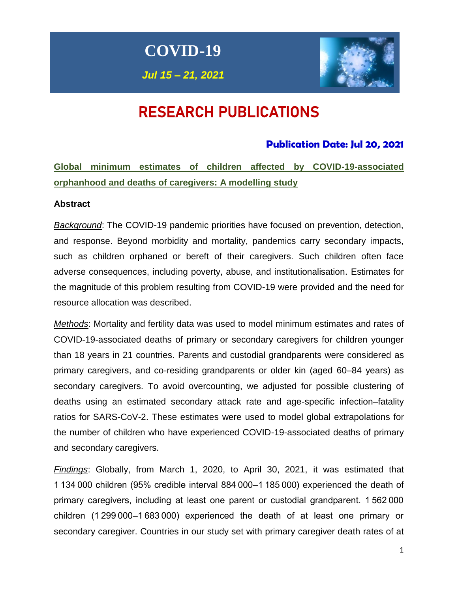**COVID-19**

*Jul 15 – 21, 2021*



# RESEARCH PUBLICATIONS

## **Publication Date: Jul 20, 2021**

**Global minimum estimates of children affected by COVID-19-associated orphanhood and deaths of caregivers: A modelling study**

## **Abstract**

*Background*: The COVID-19 pandemic priorities have focused on prevention, detection, and response. Beyond morbidity and mortality, pandemics carry secondary impacts, such as children orphaned or bereft of their caregivers. Such children often face adverse consequences, including poverty, abuse, and institutionalisation. Estimates for the magnitude of this problem resulting from COVID-19 were provided and the need for resource allocation was described.

*Methods*: Mortality and fertility data was used to model minimum estimates and rates of COVID-19-associated deaths of primary or secondary caregivers for children younger than 18 years in 21 countries. Parents and custodial grandparents were considered as primary caregivers, and co-residing grandparents or older kin (aged 60–84 years) as secondary caregivers. To avoid overcounting, we adjusted for possible clustering of deaths using an estimated secondary attack rate and age-specific infection–fatality ratios for SARS-CoV-2. These estimates were used to model global extrapolations for the number of children who have experienced COVID-19-associated deaths of primary and secondary caregivers.

*Findings*: Globally, from March 1, 2020, to April 30, 2021, it was estimated that 1 134 000 children (95% credible interval 884 000–1 185 000) experienced the death of primary caregivers, including at least one parent or custodial grandparent. 1 562 000 children (1 299 000–1 683 000) experienced the death of at least one primary or secondary caregiver. Countries in our study set with primary caregiver death rates of at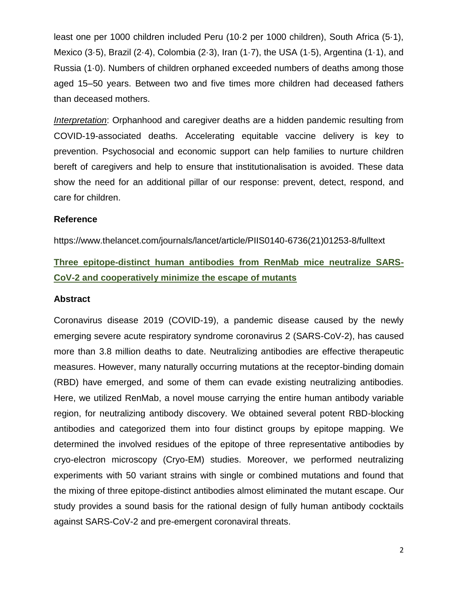least one per 1000 children included Peru (10·2 per 1000 children), South Africa (5·1), Mexico (3·5), Brazil (2·4), Colombia (2·3), Iran (1·7), the USA (1·5), Argentina (1·1), and Russia (1·0). Numbers of children orphaned exceeded numbers of deaths among those aged 15–50 years. Between two and five times more children had deceased fathers than deceased mothers.

*Interpretation*: Orphanhood and caregiver deaths are a hidden pandemic resulting from COVID-19-associated deaths. Accelerating equitable vaccine delivery is key to prevention. Psychosocial and economic support can help families to nurture children bereft of caregivers and help to ensure that institutionalisation is avoided. These data show the need for an additional pillar of our response: prevent, detect, respond, and care for children.

#### **Reference**

https://www.thelancet.com/journals/lancet/article/PIIS0140-6736(21)01253-8/fulltext

## **Three epitope-distinct human antibodies from RenMab mice neutralize SARS-CoV-2 and cooperatively minimize the escape of mutants**

#### **Abstract**

Coronavirus disease 2019 (COVID-19), a pandemic disease caused by the newly emerging severe acute respiratory syndrome coronavirus 2 (SARS-CoV-2), has caused more than 3.8 million deaths to date. Neutralizing antibodies are effective therapeutic measures. However, many naturally occurring mutations at the receptor-binding domain (RBD) have emerged, and some of them can evade existing neutralizing antibodies. Here, we utilized RenMab, a novel mouse carrying the entire human antibody variable region, for neutralizing antibody discovery. We obtained several potent RBD-blocking antibodies and categorized them into four distinct groups by epitope mapping. We determined the involved residues of the epitope of three representative antibodies by cryo-electron microscopy (Cryo-EM) studies. Moreover, we performed neutralizing experiments with 50 variant strains with single or combined mutations and found that the mixing of three epitope-distinct antibodies almost eliminated the mutant escape. Our study provides a sound basis for the rational design of fully human antibody cocktails against SARS-CoV-2 and pre-emergent coronaviral threats.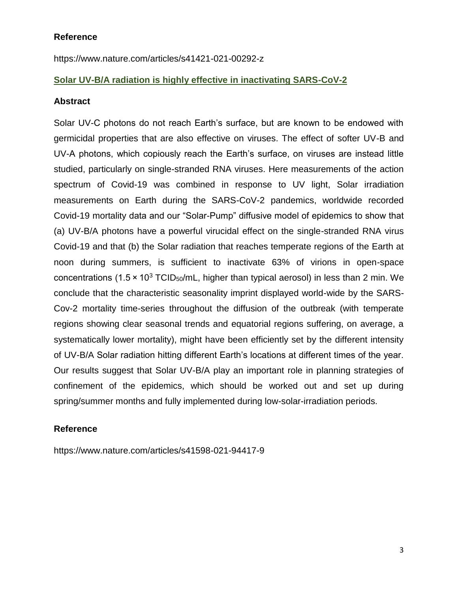### **Reference**

https://www.nature.com/articles/s41421-021-00292-z

## **Solar UV-B/A radiation is highly effective in inactivating SARS-CoV-2**

#### **Abstract**

Solar UV-C photons do not reach Earth's surface, but are known to be endowed with germicidal properties that are also effective on viruses. The effect of softer UV-B and UV-A photons, which copiously reach the Earth's surface, on viruses are instead little studied, particularly on single-stranded RNA viruses. Here measurements of the action spectrum of Covid-19 was combined in response to UV light, Solar irradiation measurements on Earth during the SARS-CoV-2 pandemics, worldwide recorded Covid-19 mortality data and our "Solar-Pump" diffusive model of epidemics to show that (a) UV-B/A photons have a powerful virucidal effect on the single-stranded RNA virus Covid-19 and that (b) the Solar radiation that reaches temperate regions of the Earth at noon during summers, is sufficient to inactivate 63% of virions in open-space concentrations (1.5  $\times$  10<sup>3</sup> TCID<sub>50</sub>/mL, higher than typical aerosol) in less than 2 min. We conclude that the characteristic seasonality imprint displayed world-wide by the SARS-Cov-2 mortality time-series throughout the diffusion of the outbreak (with temperate regions showing clear seasonal trends and equatorial regions suffering, on average, a systematically lower mortality), might have been efficiently set by the different intensity of UV-B/A Solar radiation hitting different Earth's locations at different times of the year. Our results suggest that Solar UV-B/A play an important role in planning strategies of confinement of the epidemics, which should be worked out and set up during spring/summer months and fully implemented during low-solar-irradiation periods.

#### **Reference**

https://www.nature.com/articles/s41598-021-94417-9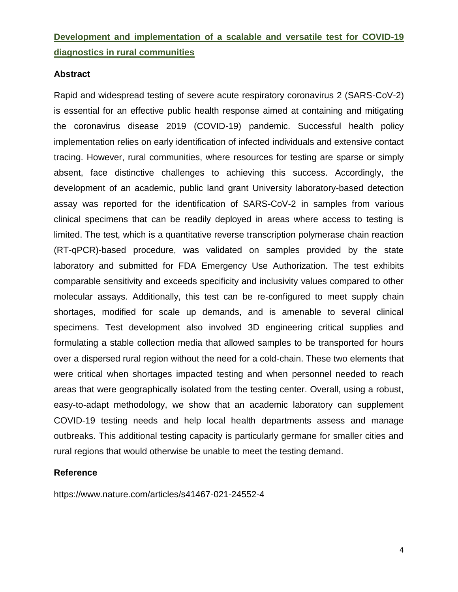## **Development and implementation of a scalable and versatile test for COVID-19 diagnostics in rural communities**

#### **Abstract**

Rapid and widespread testing of severe acute respiratory coronavirus 2 (SARS-CoV-2) is essential for an effective public health response aimed at containing and mitigating the coronavirus disease 2019 (COVID-19) pandemic. Successful health policy implementation relies on early identification of infected individuals and extensive contact tracing. However, rural communities, where resources for testing are sparse or simply absent, face distinctive challenges to achieving this success. Accordingly, the development of an academic, public land grant University laboratory-based detection assay was reported for the identification of SARS-CoV-2 in samples from various clinical specimens that can be readily deployed in areas where access to testing is limited. The test, which is a quantitative reverse transcription polymerase chain reaction (RT-qPCR)-based procedure, was validated on samples provided by the state laboratory and submitted for FDA Emergency Use Authorization. The test exhibits comparable sensitivity and exceeds specificity and inclusivity values compared to other molecular assays. Additionally, this test can be re-configured to meet supply chain shortages, modified for scale up demands, and is amenable to several clinical specimens. Test development also involved 3D engineering critical supplies and formulating a stable collection media that allowed samples to be transported for hours over a dispersed rural region without the need for a cold-chain. These two elements that were critical when shortages impacted testing and when personnel needed to reach areas that were geographically isolated from the testing center. Overall, using a robust, easy-to-adapt methodology, we show that an academic laboratory can supplement COVID-19 testing needs and help local health departments assess and manage outbreaks. This additional testing capacity is particularly germane for smaller cities and rural regions that would otherwise be unable to meet the testing demand.

#### **Reference**

https://www.nature.com/articles/s41467-021-24552-4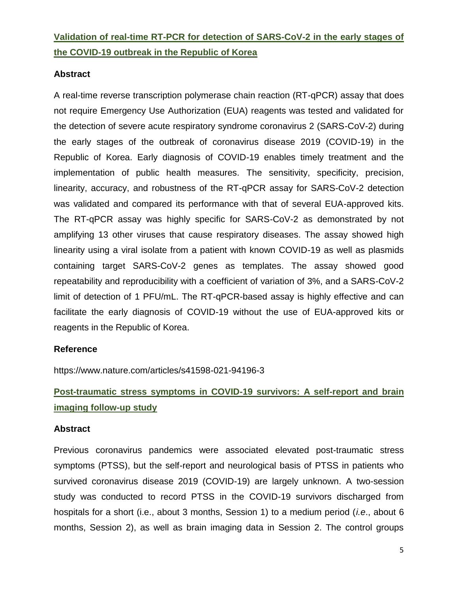# **Validation of real-time RT-PCR for detection of SARS-CoV-2 in the early stages of the COVID-19 outbreak in the Republic of Korea**

## **Abstract**

A real-time reverse transcription polymerase chain reaction (RT-qPCR) assay that does not require Emergency Use Authorization (EUA) reagents was tested and validated for the detection of severe acute respiratory syndrome coronavirus 2 (SARS-CoV-2) during the early stages of the outbreak of coronavirus disease 2019 (COVID-19) in the Republic of Korea. Early diagnosis of COVID-19 enables timely treatment and the implementation of public health measures. The sensitivity, specificity, precision, linearity, accuracy, and robustness of the RT-qPCR assay for SARS-CoV-2 detection was validated and compared its performance with that of several EUA-approved kits. The RT-qPCR assay was highly specific for SARS-CoV-2 as demonstrated by not amplifying 13 other viruses that cause respiratory diseases. The assay showed high linearity using a viral isolate from a patient with known COVID-19 as well as plasmids containing target SARS-CoV-2 genes as templates. The assay showed good repeatability and reproducibility with a coefficient of variation of 3%, and a SARS-CoV-2 limit of detection of 1 PFU/mL. The RT-qPCR-based assay is highly effective and can facilitate the early diagnosis of COVID-19 without the use of EUA-approved kits or reagents in the Republic of Korea.

#### **Reference**

https://www.nature.com/articles/s41598-021-94196-3

# **Post-traumatic stress symptoms in COVID-19 survivors: A self-report and brain imaging follow-up study**

#### **Abstract**

Previous coronavirus pandemics were associated elevated post-traumatic stress symptoms (PTSS), but the self-report and neurological basis of PTSS in patients who survived coronavirus disease 2019 (COVID-19) are largely unknown. A two-session study was conducted to record PTSS in the COVID-19 survivors discharged from hospitals for a short (i.e., about 3 months, Session 1) to a medium period (*i.e*., about 6 months, Session 2), as well as brain imaging data in Session 2. The control groups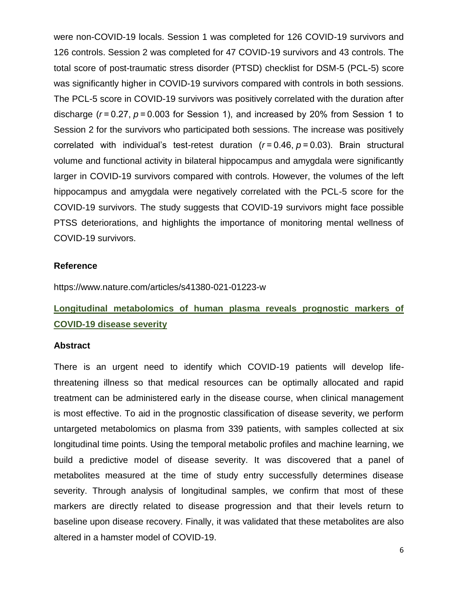were non-COVID-19 locals. Session 1 was completed for 126 COVID-19 survivors and 126 controls. Session 2 was completed for 47 COVID-19 survivors and 43 controls. The total score of post-traumatic stress disorder (PTSD) checklist for DSM-5 (PCL-5) score was significantly higher in COVID-19 survivors compared with controls in both sessions. The PCL-5 score in COVID-19 survivors was positively correlated with the duration after discharge (*r* = 0.27, *p* = 0.003 for Session 1), and increased by 20% from Session 1 to Session 2 for the survivors who participated both sessions. The increase was positively correlated with individual's test-retest duration (*r* = 0.46, *p* = 0.03). Brain structural volume and functional activity in bilateral hippocampus and amygdala were significantly larger in COVID-19 survivors compared with controls. However, the volumes of the left hippocampus and amygdala were negatively correlated with the PCL-5 score for the COVID-19 survivors. The study suggests that COVID-19 survivors might face possible PTSS deteriorations, and highlights the importance of monitoring mental wellness of COVID-19 survivors.

#### **Reference**

https://www.nature.com/articles/s41380-021-01223-w

## **Longitudinal metabolomics of human plasma reveals prognostic markers of COVID-19 disease severity**

#### **Abstract**

There is an urgent need to identify which COVID-19 patients will develop lifethreatening illness so that medical resources can be optimally allocated and rapid treatment can be administered early in the disease course, when clinical management is most effective. To aid in the prognostic classification of disease severity, we perform untargeted metabolomics on plasma from 339 patients, with samples collected at six longitudinal time points. Using the temporal metabolic profiles and machine learning, we build a predictive model of disease severity. It was discovered that a panel of metabolites measured at the time of study entry successfully determines disease severity. Through analysis of longitudinal samples, we confirm that most of these markers are directly related to disease progression and that their levels return to baseline upon disease recovery. Finally, it was validated that these metabolites are also altered in a hamster model of COVID-19.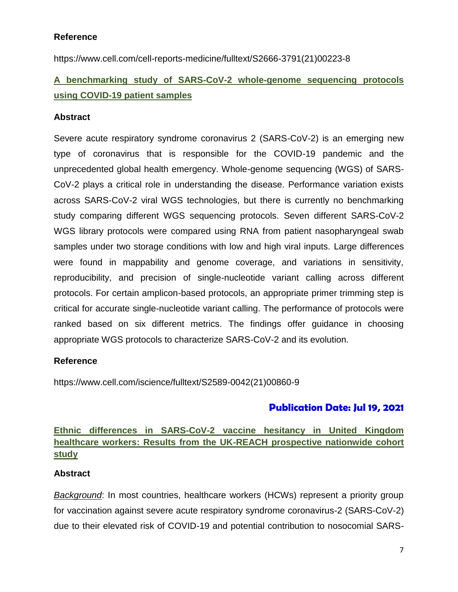## **Reference**

https://www.cell.com/cell-reports-medicine/fulltext/S2666-3791(21)00223-8

# **A benchmarking study of SARS-CoV-2 whole-genome sequencing protocols using COVID-19 patient samples**

## **Abstract**

Severe acute respiratory syndrome coronavirus 2 (SARS-CoV-2) is an emerging new type of coronavirus that is responsible for the COVID-19 pandemic and the unprecedented global health emergency. Whole-genome sequencing (WGS) of SARS-CoV-2 plays a critical role in understanding the disease. Performance variation exists across SARS-CoV-2 viral WGS technologies, but there is currently no benchmarking study comparing different WGS sequencing protocols. Seven different SARS-CoV-2 WGS library protocols were compared using RNA from patient nasopharyngeal swab samples under two storage conditions with low and high viral inputs. Large differences were found in mappability and genome coverage, and variations in sensitivity, reproducibility, and precision of single-nucleotide variant calling across different protocols. For certain amplicon-based protocols, an appropriate primer trimming step is critical for accurate single-nucleotide variant calling. The performance of protocols were ranked based on six different metrics. The findings offer guidance in choosing appropriate WGS protocols to characterize SARS-CoV-2 and its evolution.

#### **Reference**

https://www.cell.com/iscience/fulltext/S2589-0042(21)00860-9

## **Publication Date: Jul 19, 2021**

## **Ethnic differences in SARS-CoV-2 vaccine hesitancy in United Kingdom healthcare workers: Results from the UK-REACH prospective nationwide cohort study**

## **Abstract**

*Background*: In most countries, healthcare workers (HCWs) represent a priority group for vaccination against severe acute respiratory syndrome coronavirus-2 (SARS-CoV-2) due to their elevated risk of COVID-19 and potential contribution to nosocomial SARS-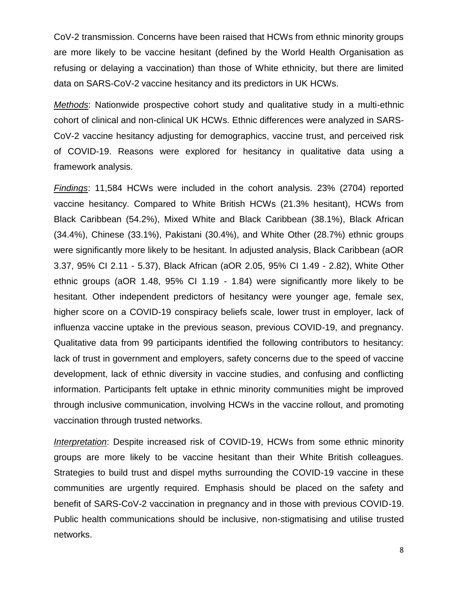CoV-2 transmission. Concerns have been raised that HCWs from ethnic minority groups are more likely to be vaccine hesitant (defined by the World Health Organisation as refusing or delaying a vaccination) than those of White ethnicity, but there are limited data on SARS-CoV-2 vaccine hesitancy and its predictors in UK HCWs.

*Methods*: Nationwide prospective cohort study and qualitative study in a multi-ethnic cohort of clinical and non-clinical UK HCWs. Ethnic differences were analyzed in SARS-CoV-2 vaccine hesitancy adjusting for demographics, vaccine trust, and perceived risk of COVID-19. Reasons were explored for hesitancy in qualitative data using a framework analysis.

*Findings*: 11,584 HCWs were included in the cohort analysis. 23% (2704) reported vaccine hesitancy. Compared to White British HCWs (21.3% hesitant), HCWs from Black Caribbean (54.2%), Mixed White and Black Caribbean (38.1%), Black African (34.4%), Chinese (33.1%), Pakistani (30.4%), and White Other (28.7%) ethnic groups were significantly more likely to be hesitant. In adjusted analysis, Black Caribbean (aOR 3.37, 95% CI 2.11 - 5.37), Black African (aOR 2.05, 95% CI 1.49 - 2.82), White Other ethnic groups (aOR 1.48, 95% CI 1.19 - 1.84) were significantly more likely to be hesitant. Other independent predictors of hesitancy were younger age, female sex, higher score on a COVID-19 conspiracy beliefs scale, lower trust in employer, lack of influenza vaccine uptake in the previous season, previous COVID-19, and pregnancy. Qualitative data from 99 participants identified the following contributors to hesitancy: lack of trust in government and employers, safety concerns due to the speed of vaccine development, lack of ethnic diversity in vaccine studies, and confusing and conflicting information. Participants felt uptake in ethnic minority communities might be improved through inclusive communication, involving HCWs in the vaccine rollout, and promoting vaccination through trusted networks.

*Interpretation*: Despite increased risk of COVID-19, HCWs from some ethnic minority groups are more likely to be vaccine hesitant than their White British colleagues. Strategies to build trust and dispel myths surrounding the COVID-19 vaccine in these communities are urgently required. Emphasis should be placed on the safety and benefit of SARS-CoV-2 vaccination in pregnancy and in those with previous COVID-19. Public health communications should be inclusive, non-stigmatising and utilise trusted networks.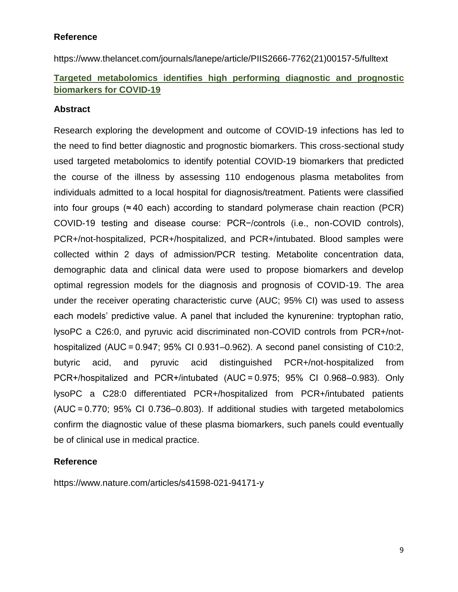#### **Reference**

https://www.thelancet.com/journals/lanepe/article/PIIS2666-7762(21)00157-5/fulltext

## **Targeted metabolomics identifies high performing diagnostic and prognostic biomarkers for COVID-19**

### **Abstract**

Research exploring the development and outcome of COVID-19 infections has led to the need to find better diagnostic and prognostic biomarkers. This cross-sectional study used targeted metabolomics to identify potential COVID-19 biomarkers that predicted the course of the illness by assessing 110 endogenous plasma metabolites from individuals admitted to a local hospital for diagnosis/treatment. Patients were classified into four groups ( $\approx$  40 each) according to standard polymerase chain reaction (PCR) COVID-19 testing and disease course: PCR−/controls (i.e., non-COVID controls), PCR+/not-hospitalized, PCR+/hospitalized, and PCR+/intubated. Blood samples were collected within 2 days of admission/PCR testing. Metabolite concentration data, demographic data and clinical data were used to propose biomarkers and develop optimal regression models for the diagnosis and prognosis of COVID-19. The area under the receiver operating characteristic curve (AUC; 95% CI) was used to assess each models' predictive value. A panel that included the kynurenine: tryptophan ratio, lysoPC a C26:0, and pyruvic acid discriminated non-COVID controls from PCR+/nothospitalized (AUC = 0.947; 95% CI 0.931–0.962). A second panel consisting of C10:2, butyric acid, and pyruvic acid distinguished PCR+/not-hospitalized from PCR+/hospitalized and PCR+/intubated (AUC = 0.975; 95% CI 0.968–0.983). Only lysoPC a C28:0 differentiated PCR+/hospitalized from PCR+/intubated patients (AUC = 0.770; 95% CI 0.736–0.803). If additional studies with targeted metabolomics confirm the diagnostic value of these plasma biomarkers, such panels could eventually be of clinical use in medical practice.

#### **Reference**

https://www.nature.com/articles/s41598-021-94171-y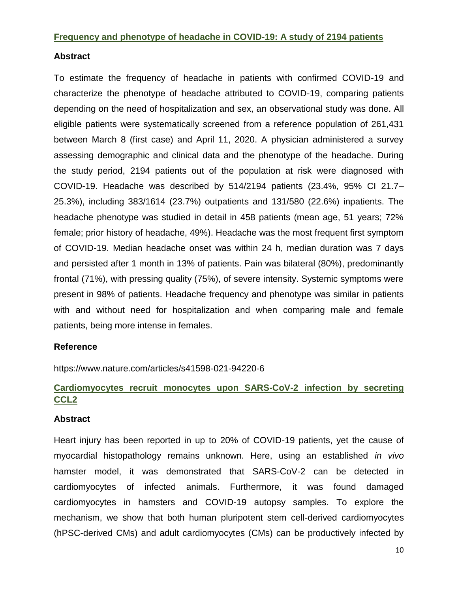## **Frequency and phenotype of headache in COVID-19: A study of 2194 patients**

#### **Abstract**

To estimate the frequency of headache in patients with confirmed COVID-19 and characterize the phenotype of headache attributed to COVID-19, comparing patients depending on the need of hospitalization and sex, an observational study was done. All eligible patients were systematically screened from a reference population of 261,431 between March 8 (first case) and April 11, 2020. A physician administered a survey assessing demographic and clinical data and the phenotype of the headache. During the study period, 2194 patients out of the population at risk were diagnosed with COVID-19. Headache was described by 514/2194 patients (23.4%, 95% CI 21.7– 25.3%), including 383/1614 (23.7%) outpatients and 131/580 (22.6%) inpatients. The headache phenotype was studied in detail in 458 patients (mean age, 51 years; 72% female; prior history of headache, 49%). Headache was the most frequent first symptom of COVID-19. Median headache onset was within 24 h, median duration was 7 days and persisted after 1 month in 13% of patients. Pain was bilateral (80%), predominantly frontal (71%), with pressing quality (75%), of severe intensity. Systemic symptoms were present in 98% of patients. Headache frequency and phenotype was similar in patients with and without need for hospitalization and when comparing male and female patients, being more intense in females.

#### **Reference**

https://www.nature.com/articles/s41598-021-94220-6

## **Cardiomyocytes recruit monocytes upon SARS-CoV-2 infection by secreting CCL2**

#### **Abstract**

Heart injury has been reported in up to 20% of COVID-19 patients, yet the cause of myocardial histopathology remains unknown. Here, using an established *in vivo* hamster model, it was demonstrated that SARS-CoV-2 can be detected in cardiomyocytes of infected animals. Furthermore, it was found damaged cardiomyocytes in hamsters and COVID-19 autopsy samples. To explore the mechanism, we show that both human pluripotent stem cell-derived cardiomyocytes (hPSC-derived CMs) and adult cardiomyocytes (CMs) can be productively infected by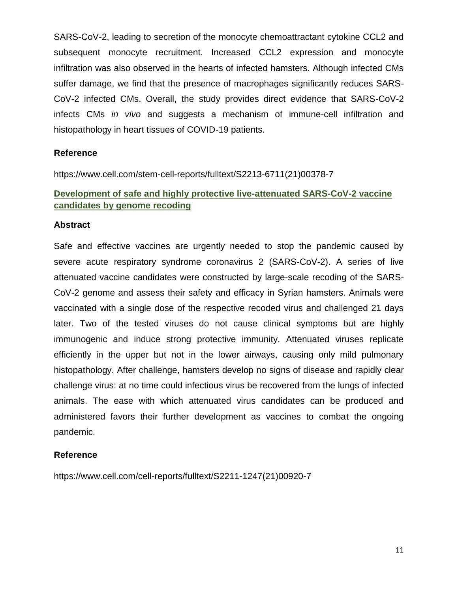SARS-CoV-2, leading to secretion of the monocyte chemoattractant cytokine CCL2 and subsequent monocyte recruitment. Increased CCL2 expression and monocyte infiltration was also observed in the hearts of infected hamsters. Although infected CMs suffer damage, we find that the presence of macrophages significantly reduces SARS-CoV-2 infected CMs. Overall, the study provides direct evidence that SARS-CoV-2 infects CMs *in vivo* and suggests a mechanism of immune-cell infiltration and histopathology in heart tissues of COVID-19 patients.

#### **Reference**

https://www.cell.com/stem-cell-reports/fulltext/S2213-6711(21)00378-7

## **Development of safe and highly protective live-attenuated SARS-CoV-2 vaccine candidates by genome recoding**

#### **Abstract**

Safe and effective vaccines are urgently needed to stop the pandemic caused by severe acute respiratory syndrome coronavirus 2 (SARS-CoV-2). A series of live attenuated vaccine candidates were constructed by large-scale recoding of the SARS-CoV-2 genome and assess their safety and efficacy in Syrian hamsters. Animals were vaccinated with a single dose of the respective recoded virus and challenged 21 days later. Two of the tested viruses do not cause clinical symptoms but are highly immunogenic and induce strong protective immunity. Attenuated viruses replicate efficiently in the upper but not in the lower airways, causing only mild pulmonary histopathology. After challenge, hamsters develop no signs of disease and rapidly clear challenge virus: at no time could infectious virus be recovered from the lungs of infected animals. The ease with which attenuated virus candidates can be produced and administered favors their further development as vaccines to combat the ongoing pandemic.

#### **Reference**

https://www.cell.com/cell-reports/fulltext/S2211-1247(21)00920-7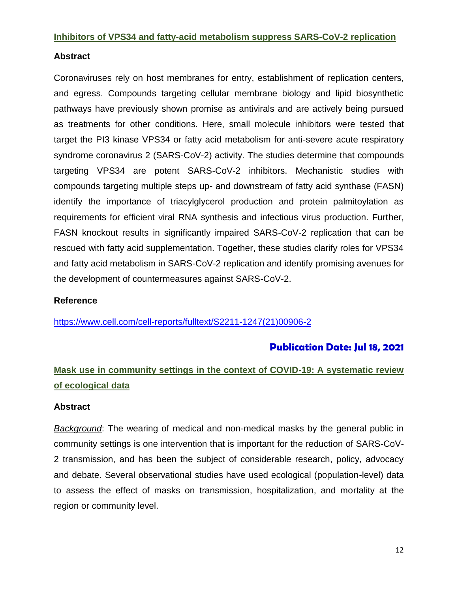#### **Inhibitors of VPS34 and fatty-acid metabolism suppress SARS-CoV-2 replication**

#### **Abstract**

Coronaviruses rely on host membranes for entry, establishment of replication centers, and egress. Compounds targeting cellular membrane biology and lipid biosynthetic pathways have previously shown promise as antivirals and are actively being pursued as treatments for other conditions. Here, small molecule inhibitors were tested that target the PI3 kinase VPS34 or fatty acid metabolism for anti-severe acute respiratory syndrome coronavirus 2 (SARS-CoV-2) activity. The studies determine that compounds targeting VPS34 are potent SARS-CoV-2 inhibitors. Mechanistic studies with compounds targeting multiple steps up- and downstream of fatty acid synthase (FASN) identify the importance of triacylglycerol production and protein palmitoylation as requirements for efficient viral RNA synthesis and infectious virus production. Further, FASN knockout results in significantly impaired SARS-CoV-2 replication that can be rescued with fatty acid supplementation. Together, these studies clarify roles for VPS34 and fatty acid metabolism in SARS-CoV-2 replication and identify promising avenues for the development of countermeasures against SARS-CoV-2.

#### **Reference**

[https://www.cell.com/cell-reports/fulltext/S2211-1247\(21\)00906-2](https://www.cell.com/cell-reports/fulltext/S2211-1247(21)00906-2)

## **Publication Date: Jul 18, 2021**

# **Mask use in community settings in the context of COVID-19: A systematic review of ecological data**

#### **Abstract**

*Background*: The wearing of medical and non-medical masks by the general public in community settings is one intervention that is important for the reduction of SARS-CoV-2 transmission, and has been the subject of considerable research, policy, advocacy and debate. Several observational studies have used ecological (population-level) data to assess the effect of masks on transmission, hospitalization, and mortality at the region or community level.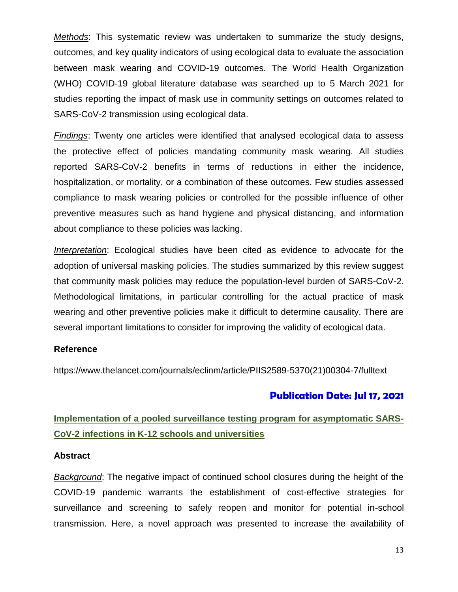*Methods*: This systematic review was undertaken to summarize the study designs, outcomes, and key quality indicators of using ecological data to evaluate the association between mask wearing and COVID-19 outcomes. The World Health Organization (WHO) COVID-19 global literature database was searched up to 5 March 2021 for studies reporting the impact of mask use in community settings on outcomes related to SARS-CoV-2 transmission using ecological data.

*Findings*: Twenty one articles were identified that analysed ecological data to assess the protective effect of policies mandating community mask wearing. All studies reported SARS-CoV-2 benefits in terms of reductions in either the incidence, hospitalization, or mortality, or a combination of these outcomes. Few studies assessed compliance to mask wearing policies or controlled for the possible influence of other preventive measures such as hand hygiene and physical distancing, and information about compliance to these policies was lacking.

*Interpretation*: Ecological studies have been cited as evidence to advocate for the adoption of universal masking policies. The studies summarized by this review suggest that community mask policies may reduce the population-level burden of SARS-CoV-2. Methodological limitations, in particular controlling for the actual practice of mask wearing and other preventive policies make it difficult to determine causality. There are several important limitations to consider for improving the validity of ecological data.

#### **Reference**

https://www.thelancet.com/journals/eclinm/article/PIIS2589-5370(21)00304-7/fulltext

#### **Publication Date: Jul 17, 2021**

## **Implementation of a pooled surveillance testing program for asymptomatic SARS-CoV-2 infections in K-12 schools and universities**

#### **Abstract**

*Background*: The negative impact of continued school closures during the height of the COVID-19 pandemic warrants the establishment of cost-effective strategies for surveillance and screening to safely reopen and monitor for potential in-school transmission. Here, a novel approach was presented to increase the availability of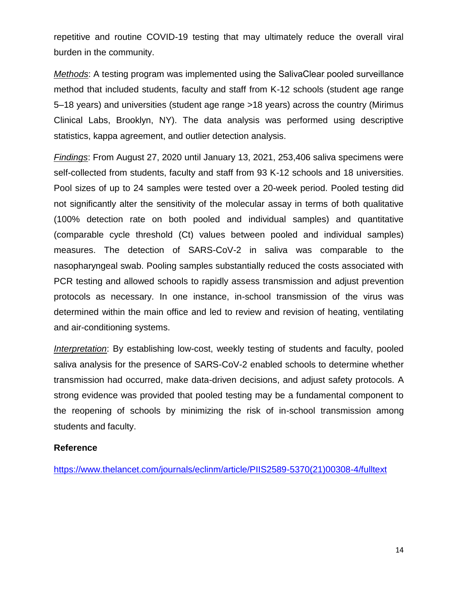repetitive and routine COVID-19 testing that may ultimately reduce the overall viral burden in the community.

*Methods*: A testing program was implemented using the SalivaClear pooled surveillance method that included students, faculty and staff from K-12 schools (student age range 5–18 years) and universities (student age range >18 years) across the country (Mirimus Clinical Labs, Brooklyn, NY). The data analysis was performed using descriptive statistics, kappa agreement, and outlier detection analysis.

*Findings*: From August 27, 2020 until January 13, 2021, 253,406 saliva specimens were self-collected from students, faculty and staff from 93 K-12 schools and 18 universities. Pool sizes of up to 24 samples were tested over a 20-week period. Pooled testing did not significantly alter the sensitivity of the molecular assay in terms of both qualitative (100% detection rate on both pooled and individual samples) and quantitative (comparable cycle threshold (Ct) values between pooled and individual samples) measures. The detection of SARS-CoV-2 in saliva was comparable to the nasopharyngeal swab. Pooling samples substantially reduced the costs associated with PCR testing and allowed schools to rapidly assess transmission and adjust prevention protocols as necessary. In one instance, in-school transmission of the virus was determined within the main office and led to review and revision of heating, ventilating and air-conditioning systems.

*Interpretation*: By establishing low-cost, weekly testing of students and faculty, pooled saliva analysis for the presence of SARS-CoV-2 enabled schools to determine whether transmission had occurred, make data-driven decisions, and adjust safety protocols. A strong evidence was provided that pooled testing may be a fundamental component to the reopening of schools by minimizing the risk of in-school transmission among students and faculty.

#### **Reference**

[https://www.thelancet.com/journals/eclinm/article/PIIS2589-5370\(21\)00308-4/fulltext](https://www.thelancet.com/journals/eclinm/article/PIIS2589-5370(21)00308-4/fulltext)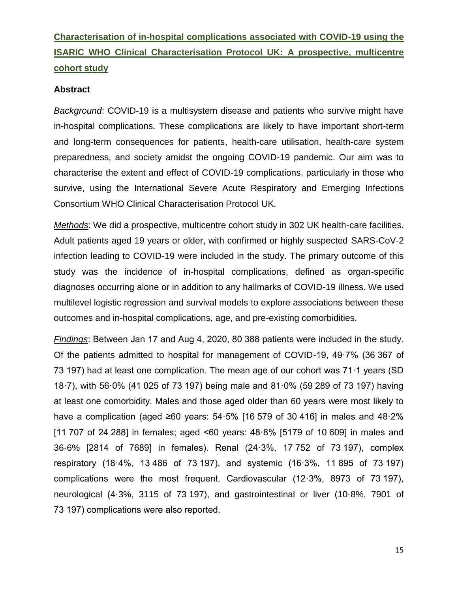# **Characterisation of in-hospital complications associated with COVID-19 using the ISARIC WHO Clinical Characterisation Protocol UK: A prospective, multicentre cohort study**

#### **Abstract**

*Background*: COVID-19 is a multisystem disease and patients who survive might have in-hospital complications. These complications are likely to have important short-term and long-term consequences for patients, health-care utilisation, health-care system preparedness, and society amidst the ongoing COVID-19 pandemic. Our aim was to characterise the extent and effect of COVID-19 complications, particularly in those who survive, using the International Severe Acute Respiratory and Emerging Infections Consortium WHO Clinical Characterisation Protocol UK.

*Methods*: We did a prospective, multicentre cohort study in 302 UK health-care facilities. Adult patients aged 19 years or older, with confirmed or highly suspected SARS-CoV-2 infection leading to COVID-19 were included in the study. The primary outcome of this study was the incidence of in-hospital complications, defined as organ-specific diagnoses occurring alone or in addition to any hallmarks of COVID-19 illness. We used multilevel logistic regression and survival models to explore associations between these outcomes and in-hospital complications, age, and pre-existing comorbidities.

*Findings*: Between Jan 17 and Aug 4, 2020, 80 388 patients were included in the study. Of the patients admitted to hospital for management of COVID-19, 49·7% (36 367 of 73 197) had at least one complication. The mean age of our cohort was 71·1 years (SD 18·7), with 56·0% (41 025 of 73 197) being male and 81·0% (59 289 of 73 197) having at least one comorbidity. Males and those aged older than 60 years were most likely to have a complication (aged ≥60 years: 54·5% [16 579 of 30 416] in males and 48·2% [11 707 of 24 288] in females; aged <60 years: 48·8% [5179 of 10 609] in males and 36·6% [2814 of 7689] in females). Renal (24·3%, 17 752 of 73 197), complex respiratory (18·4%, 13 486 of 73 197), and systemic (16·3%, 11 895 of 73 197) complications were the most frequent. Cardiovascular (12·3%, 8973 of 73 197), neurological (4·3%, 3115 of 73 197), and gastrointestinal or liver (10·8%, 7901 of 73 197) complications were also reported.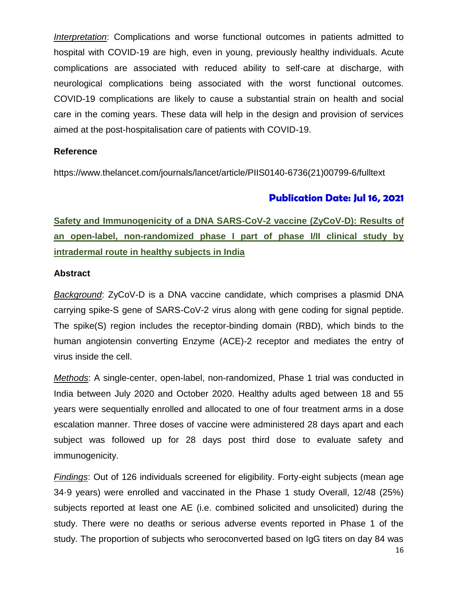*Interpretation*: Complications and worse functional outcomes in patients admitted to hospital with COVID-19 are high, even in young, previously healthy individuals. Acute complications are associated with reduced ability to self-care at discharge, with neurological complications being associated with the worst functional outcomes. COVID-19 complications are likely to cause a substantial strain on health and social care in the coming years. These data will help in the design and provision of services aimed at the post-hospitalisation care of patients with COVID-19.

#### **Reference**

https://www.thelancet.com/journals/lancet/article/PIIS0140-6736(21)00799-6/fulltext

## **Publication Date: Jul 16, 2021**

# **Safety and Immunogenicity of a DNA SARS-CoV-2 vaccine (ZyCoV-D): Results of an open-label, non-randomized phase I part of phase I/II clinical study by intradermal route in healthy subjects in India**

#### **Abstract**

*Background*: ZyCoV-D is a DNA vaccine candidate, which comprises a plasmid DNA carrying spike-S gene of SARS-CoV-2 virus along with gene coding for signal peptide. The spike(S) region includes the receptor-binding domain (RBD), which binds to the human angiotensin converting Enzyme (ACE)-2 receptor and mediates the entry of virus inside the cell.

*Methods*: A single-center, open-label, non-randomized, Phase 1 trial was conducted in India between July 2020 and October 2020. Healthy adults aged between 18 and 55 years were sequentially enrolled and allocated to one of four treatment arms in a dose escalation manner. Three doses of vaccine were administered 28 days apart and each subject was followed up for 28 days post third dose to evaluate safety and immunogenicity.

*Findings*: Out of 126 individuals screened for eligibility. Forty-eight subjects (mean age 34·9 years) were enrolled and vaccinated in the Phase 1 study Overall, 12/48 (25%) subjects reported at least one AE (i.e. combined solicited and unsolicited) during the study. There were no deaths or serious adverse events reported in Phase 1 of the study. The proportion of subjects who seroconverted based on IgG titers on day 84 was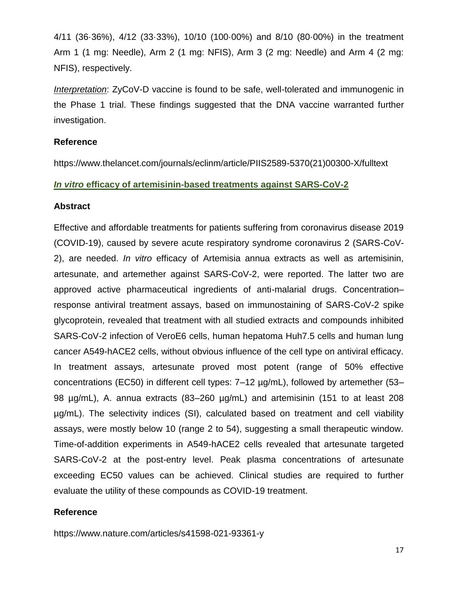4/11 (36·36%), 4/12 (33·33%), 10/10 (100·00%) and 8/10 (80·00%) in the treatment Arm 1 (1 mg: Needle), Arm 2 (1 mg: NFIS), Arm 3 (2 mg: Needle) and Arm 4 (2 mg: NFIS), respectively.

*Interpretation*: ZyCoV-D vaccine is found to be safe, well-tolerated and immunogenic in the Phase 1 trial. These findings suggested that the DNA vaccine warranted further investigation.

#### **Reference**

https://www.thelancet.com/journals/eclinm/article/PIIS2589-5370(21)00300-X/fulltext

#### *In vitro* **efficacy of artemisinin-based treatments against SARS-CoV-2**

#### **Abstract**

Effective and affordable treatments for patients suffering from coronavirus disease 2019 (COVID-19), caused by severe acute respiratory syndrome coronavirus 2 (SARS-CoV-2), are needed. *In vitro* efficacy of Artemisia annua extracts as well as artemisinin, artesunate, and artemether against SARS-CoV-2, were reported. The latter two are approved active pharmaceutical ingredients of anti-malarial drugs. Concentration– response antiviral treatment assays, based on immunostaining of SARS-CoV-2 spike glycoprotein, revealed that treatment with all studied extracts and compounds inhibited SARS-CoV-2 infection of VeroE6 cells, human hepatoma Huh7.5 cells and human lung cancer A549-hACE2 cells, without obvious influence of the cell type on antiviral efficacy. In treatment assays, artesunate proved most potent (range of 50% effective concentrations (EC50) in different cell types: 7–12 µg/mL), followed by artemether (53– 98 µg/mL), A. annua extracts (83–260 µg/mL) and artemisinin (151 to at least 208 µg/mL). The selectivity indices (SI), calculated based on treatment and cell viability assays, were mostly below 10 (range 2 to 54), suggesting a small therapeutic window. Time-of-addition experiments in A549-hACE2 cells revealed that artesunate targeted SARS-CoV-2 at the post-entry level. Peak plasma concentrations of artesunate exceeding EC50 values can be achieved. Clinical studies are required to further evaluate the utility of these compounds as COVID-19 treatment.

#### **Reference**

https://www.nature.com/articles/s41598-021-93361-y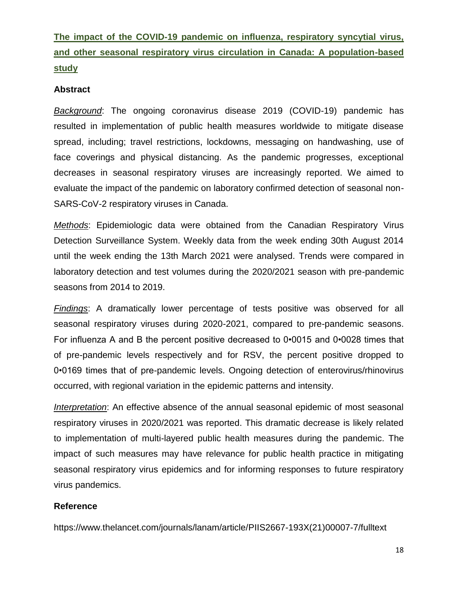**The impact of the COVID-19 pandemic on influenza, respiratory syncytial virus, and other seasonal respiratory virus circulation in Canada: A population-based study**

#### **Abstract**

*Background*: The ongoing coronavirus disease 2019 (COVID-19) pandemic has resulted in implementation of public health measures worldwide to mitigate disease spread, including; travel restrictions, lockdowns, messaging on handwashing, use of face coverings and physical distancing. As the pandemic progresses, exceptional decreases in seasonal respiratory viruses are increasingly reported. We aimed to evaluate the impact of the pandemic on laboratory confirmed detection of seasonal non-SARS-CoV-2 respiratory viruses in Canada.

*Methods*: Epidemiologic data were obtained from the Canadian Respiratory Virus Detection Surveillance System. Weekly data from the week ending 30th August 2014 until the week ending the 13th March 2021 were analysed. Trends were compared in laboratory detection and test volumes during the 2020/2021 season with pre-pandemic seasons from 2014 to 2019.

*Findings*: A dramatically lower percentage of tests positive was observed for all seasonal respiratory viruses during 2020-2021, compared to pre-pandemic seasons. For influenza A and B the percent positive decreased to 0•0015 and 0•0028 times that of pre-pandemic levels respectively and for RSV, the percent positive dropped to 0•0169 times that of pre-pandemic levels. Ongoing detection of enterovirus/rhinovirus occurred, with regional variation in the epidemic patterns and intensity.

*Interpretation*: An effective absence of the annual seasonal epidemic of most seasonal respiratory viruses in 2020/2021 was reported. This dramatic decrease is likely related to implementation of multi-layered public health measures during the pandemic. The impact of such measures may have relevance for public health practice in mitigating seasonal respiratory virus epidemics and for informing responses to future respiratory virus pandemics.

#### **Reference**

https://www.thelancet.com/journals/lanam/article/PIIS2667-193X(21)00007-7/fulltext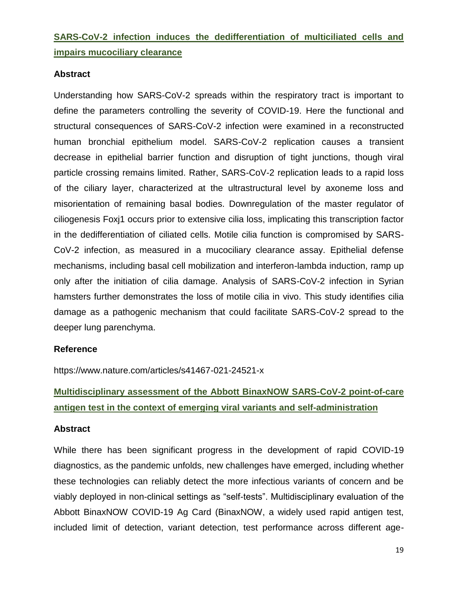# **SARS-CoV-2 infection induces the dedifferentiation of multiciliated cells and impairs mucociliary clearance**

### **Abstract**

Understanding how SARS-CoV-2 spreads within the respiratory tract is important to define the parameters controlling the severity of COVID-19. Here the functional and structural consequences of SARS-CoV-2 infection were examined in a reconstructed human bronchial epithelium model. SARS-CoV-2 replication causes a transient decrease in epithelial barrier function and disruption of tight junctions, though viral particle crossing remains limited. Rather, SARS-CoV-2 replication leads to a rapid loss of the ciliary layer, characterized at the ultrastructural level by axoneme loss and misorientation of remaining basal bodies. Downregulation of the master regulator of ciliogenesis Foxj1 occurs prior to extensive cilia loss, implicating this transcription factor in the dedifferentiation of ciliated cells. Motile cilia function is compromised by SARS-CoV-2 infection, as measured in a mucociliary clearance assay. Epithelial defense mechanisms, including basal cell mobilization and interferon-lambda induction, ramp up only after the initiation of cilia damage. Analysis of SARS-CoV-2 infection in Syrian hamsters further demonstrates the loss of motile cilia in vivo. This study identifies cilia damage as a pathogenic mechanism that could facilitate SARS-CoV-2 spread to the deeper lung parenchyma.

#### **Reference**

https://www.nature.com/articles/s41467-021-24521-x

# **Multidisciplinary assessment of the Abbott BinaxNOW SARS-CoV-2 point-of-care antigen test in the context of emerging viral variants and self-administration**

#### **Abstract**

While there has been significant progress in the development of rapid COVID-19 diagnostics, as the pandemic unfolds, new challenges have emerged, including whether these technologies can reliably detect the more infectious variants of concern and be viably deployed in non-clinical settings as "self-tests". Multidisciplinary evaluation of the Abbott BinaxNOW COVID-19 Ag Card (BinaxNOW, a widely used rapid antigen test, included limit of detection, variant detection, test performance across different age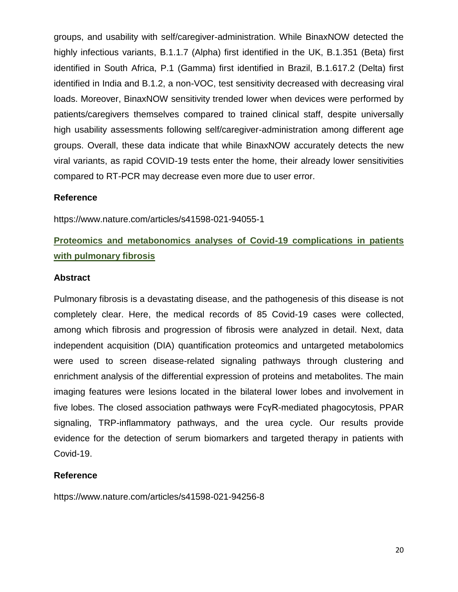groups, and usability with self/caregiver-administration. While BinaxNOW detected the highly infectious variants, B.1.1.7 (Alpha) first identified in the UK, B.1.351 (Beta) first identified in South Africa, P.1 (Gamma) first identified in Brazil, B.1.617.2 (Delta) first identified in India and B.1.2, a non-VOC, test sensitivity decreased with decreasing viral loads. Moreover, BinaxNOW sensitivity trended lower when devices were performed by patients/caregivers themselves compared to trained clinical staff, despite universally high usability assessments following self/caregiver-administration among different age groups. Overall, these data indicate that while BinaxNOW accurately detects the new viral variants, as rapid COVID-19 tests enter the home, their already lower sensitivities compared to RT-PCR may decrease even more due to user error.

## **Reference**

https://www.nature.com/articles/s41598-021-94055-1

# **Proteomics and metabonomics analyses of Covid-19 complications in patients with pulmonary fibrosis**

#### **Abstract**

Pulmonary fibrosis is a devastating disease, and the pathogenesis of this disease is not completely clear. Here, the medical records of 85 Covid-19 cases were collected, among which fibrosis and progression of fibrosis were analyzed in detail. Next, data independent acquisition (DIA) quantification proteomics and untargeted metabolomics were used to screen disease-related signaling pathways through clustering and enrichment analysis of the differential expression of proteins and metabolites. The main imaging features were lesions located in the bilateral lower lobes and involvement in five lobes. The closed association pathways were FcγR-mediated phagocytosis, PPAR signaling, TRP-inflammatory pathways, and the urea cycle. Our results provide evidence for the detection of serum biomarkers and targeted therapy in patients with Covid-19.

#### **Reference**

https://www.nature.com/articles/s41598-021-94256-8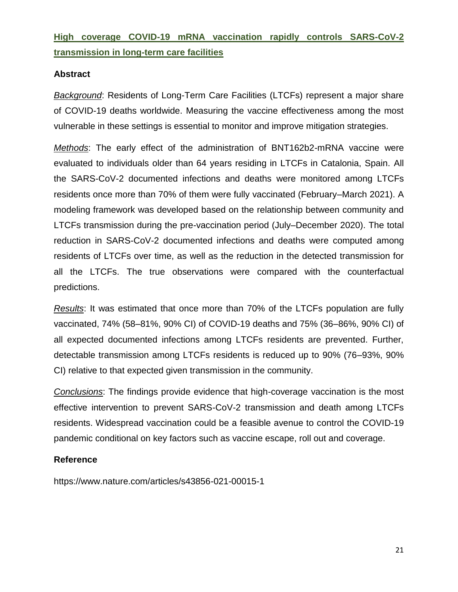# **High coverage COVID-19 mRNA vaccination rapidly controls SARS-CoV-2 transmission in long-term care facilities**

## **Abstract**

*Background*: Residents of Long-Term Care Facilities (LTCFs) represent a major share of COVID-19 deaths worldwide. Measuring the vaccine effectiveness among the most vulnerable in these settings is essential to monitor and improve mitigation strategies.

*Methods*: The early effect of the administration of BNT162b2-mRNA vaccine were evaluated to individuals older than 64 years residing in LTCFs in Catalonia, Spain. All the SARS-CoV-2 documented infections and deaths were monitored among LTCFs residents once more than 70% of them were fully vaccinated (February–March 2021). A modeling framework was developed based on the relationship between community and LTCFs transmission during the pre-vaccination period (July–December 2020). The total reduction in SARS-CoV-2 documented infections and deaths were computed among residents of LTCFs over time, as well as the reduction in the detected transmission for all the LTCFs. The true observations were compared with the counterfactual predictions.

*Results*: It was estimated that once more than 70% of the LTCFs population are fully vaccinated, 74% (58–81%, 90% CI) of COVID-19 deaths and 75% (36–86%, 90% CI) of all expected documented infections among LTCFs residents are prevented. Further, detectable transmission among LTCFs residents is reduced up to 90% (76–93%, 90% CI) relative to that expected given transmission in the community.

*Conclusions*: The findings provide evidence that high-coverage vaccination is the most effective intervention to prevent SARS-CoV-2 transmission and death among LTCFs residents. Widespread vaccination could be a feasible avenue to control the COVID-19 pandemic conditional on key factors such as vaccine escape, roll out and coverage.

#### **Reference**

https://www.nature.com/articles/s43856-021-00015-1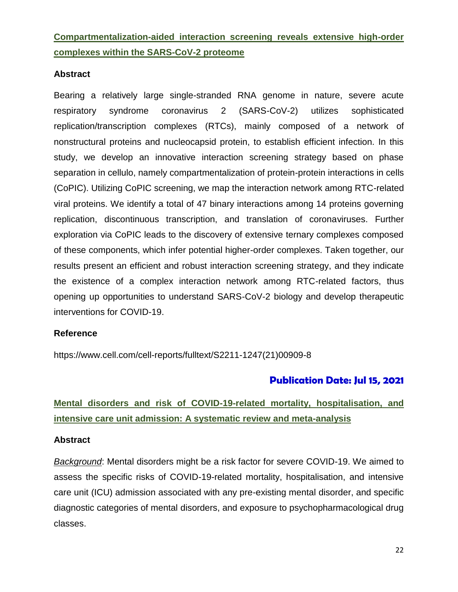# **Compartmentalization-aided interaction screening reveals extensive high-order complexes within the SARS-CoV-2 proteome**

#### **Abstract**

Bearing a relatively large single-stranded RNA genome in nature, severe acute respiratory syndrome coronavirus 2 (SARS-CoV-2) utilizes sophisticated replication/transcription complexes (RTCs), mainly composed of a network of nonstructural proteins and nucleocapsid protein, to establish efficient infection. In this study, we develop an innovative interaction screening strategy based on phase separation in cellulo, namely compartmentalization of protein-protein interactions in cells (CoPIC). Utilizing CoPIC screening, we map the interaction network among RTC-related viral proteins. We identify a total of 47 binary interactions among 14 proteins governing replication, discontinuous transcription, and translation of coronaviruses. Further exploration via CoPIC leads to the discovery of extensive ternary complexes composed of these components, which infer potential higher-order complexes. Taken together, our results present an efficient and robust interaction screening strategy, and they indicate the existence of a complex interaction network among RTC-related factors, thus opening up opportunities to understand SARS-CoV-2 biology and develop therapeutic interventions for COVID-19.

#### **Reference**

https://www.cell.com/cell-reports/fulltext/S2211-1247(21)00909-8

## **Publication Date: Jul 15, 2021**

# **Mental disorders and risk of COVID-19-related mortality, hospitalisation, and intensive care unit admission: A systematic review and meta-analysis**

#### **Abstract**

*Background*: Mental disorders might be a risk factor for severe COVID-19. We aimed to assess the specific risks of COVID-19-related mortality, hospitalisation, and intensive care unit (ICU) admission associated with any pre-existing mental disorder, and specific diagnostic categories of mental disorders, and exposure to psychopharmacological drug classes.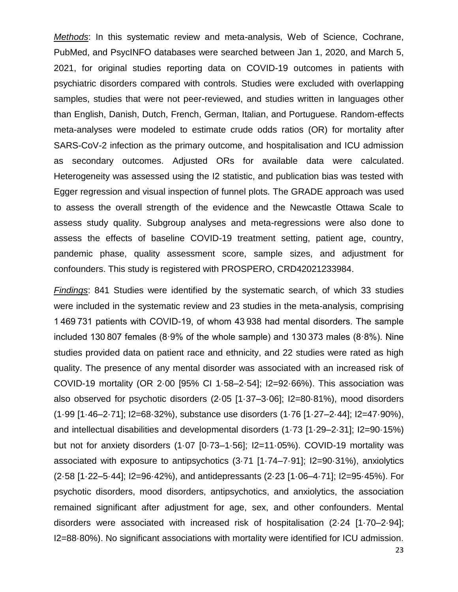*Methods*: In this systematic review and meta-analysis, Web of Science, Cochrane, PubMed, and PsycINFO databases were searched between Jan 1, 2020, and March 5, 2021, for original studies reporting data on COVID-19 outcomes in patients with psychiatric disorders compared with controls. Studies were excluded with overlapping samples, studies that were not peer-reviewed, and studies written in languages other than English, Danish, Dutch, French, German, Italian, and Portuguese. Random-effects meta-analyses were modeled to estimate crude odds ratios (OR) for mortality after SARS-CoV-2 infection as the primary outcome, and hospitalisation and ICU admission as secondary outcomes. Adjusted ORs for available data were calculated. Heterogeneity was assessed using the I2 statistic, and publication bias was tested with Egger regression and visual inspection of funnel plots. The GRADE approach was used to assess the overall strength of the evidence and the Newcastle Ottawa Scale to assess study quality. Subgroup analyses and meta-regressions were also done to assess the effects of baseline COVID-19 treatment setting, patient age, country, pandemic phase, quality assessment score, sample sizes, and adjustment for confounders. This study is registered with PROSPERO, CRD42021233984.

*Findings*: 841 Studies were identified by the systematic search, of which 33 studies were included in the systematic review and 23 studies in the meta-analysis, comprising 1 469 731 patients with COVID-19, of whom 43 938 had mental disorders. The sample included 130 807 females (8·9% of the whole sample) and 130 373 males (8·8%). Nine studies provided data on patient race and ethnicity, and 22 studies were rated as high quality. The presence of any mental disorder was associated with an increased risk of COVID-19 mortality (OR 2·00 [95% CI 1·58–2·54]; I2=92·66%). This association was also observed for psychotic disorders (2·05 [1·37–3·06]; I2=80·81%), mood disorders (1·99 [1·46–2·71]; I2=68·32%), substance use disorders (1·76 [1·27–2·44]; I2=47·90%), and intellectual disabilities and developmental disorders (1·73 [1·29–2·31]; I2=90·15%) but not for anxiety disorders (1·07 [0·73–1·56]; I2=11·05%). COVID-19 mortality was associated with exposure to antipsychotics (3·71 [1·74–7·91]; I2=90·31%), anxiolytics (2·58 [1·22–5·44]; I2=96·42%), and antidepressants (2·23 [1·06–4·71]; I2=95·45%). For psychotic disorders, mood disorders, antipsychotics, and anxiolytics, the association remained significant after adjustment for age, sex, and other confounders. Mental disorders were associated with increased risk of hospitalisation (2·24 [1·70–2·94]; I2=88·80%). No significant associations with mortality were identified for ICU admission.

23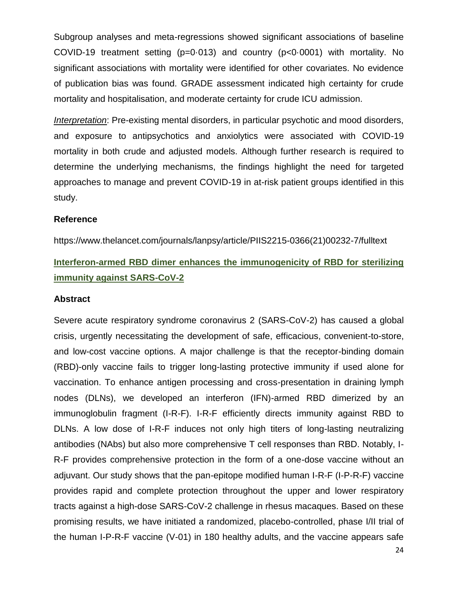Subgroup analyses and meta-regressions showed significant associations of baseline COVID-19 treatment setting (p=0·013) and country (p<0·0001) with mortality. No significant associations with mortality were identified for other covariates. No evidence of publication bias was found. GRADE assessment indicated high certainty for crude mortality and hospitalisation, and moderate certainty for crude ICU admission.

*Interpretation*: Pre-existing mental disorders, in particular psychotic and mood disorders, and exposure to antipsychotics and anxiolytics were associated with COVID-19 mortality in both crude and adjusted models. Although further research is required to determine the underlying mechanisms, the findings highlight the need for targeted approaches to manage and prevent COVID-19 in at-risk patient groups identified in this study.

#### **Reference**

https://www.thelancet.com/journals/lanpsy/article/PIIS2215-0366(21)00232-7/fulltext

# **Interferon-armed RBD dimer enhances the immunogenicity of RBD for sterilizing immunity against SARS-CoV-2**

#### **Abstract**

Severe acute respiratory syndrome coronavirus 2 (SARS-CoV-2) has caused a global crisis, urgently necessitating the development of safe, efficacious, convenient-to-store, and low-cost vaccine options. A major challenge is that the receptor-binding domain (RBD)-only vaccine fails to trigger long-lasting protective immunity if used alone for vaccination. To enhance antigen processing and cross-presentation in draining lymph nodes (DLNs), we developed an interferon (IFN)-armed RBD dimerized by an immunoglobulin fragment (I-R-F). I-R-F efficiently directs immunity against RBD to DLNs. A low dose of I-R-F induces not only high titers of long-lasting neutralizing antibodies (NAbs) but also more comprehensive T cell responses than RBD. Notably, I-R-F provides comprehensive protection in the form of a one-dose vaccine without an adjuvant. Our study shows that the pan-epitope modified human I-R-F (I-P-R-F) vaccine provides rapid and complete protection throughout the upper and lower respiratory tracts against a high-dose SARS-CoV-2 challenge in rhesus macaques. Based on these promising results, we have initiated a randomized, placebo-controlled, phase I/II trial of the human I-P-R-F vaccine (V-01) in 180 healthy adults, and the vaccine appears safe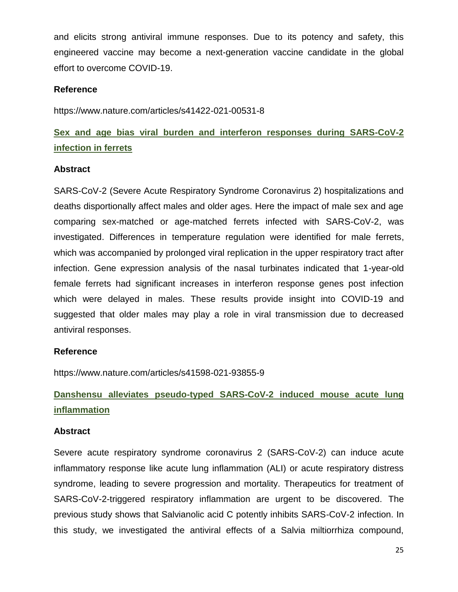and elicits strong antiviral immune responses. Due to its potency and safety, this engineered vaccine may become a next-generation vaccine candidate in the global effort to overcome COVID-19.

#### **Reference**

https://www.nature.com/articles/s41422-021-00531-8

## **Sex and age bias viral burden and interferon responses during SARS-CoV-2 infection in ferrets**

#### **Abstract**

SARS-CoV-2 (Severe Acute Respiratory Syndrome Coronavirus 2) hospitalizations and deaths disportionally affect males and older ages. Here the impact of male sex and age comparing sex-matched or age-matched ferrets infected with SARS-CoV-2, was investigated. Differences in temperature regulation were identified for male ferrets, which was accompanied by prolonged viral replication in the upper respiratory tract after infection. Gene expression analysis of the nasal turbinates indicated that 1-year-old female ferrets had significant increases in interferon response genes post infection which were delayed in males. These results provide insight into COVID-19 and suggested that older males may play a role in viral transmission due to decreased antiviral responses.

#### **Reference**

https://www.nature.com/articles/s41598-021-93855-9

# **Danshensu alleviates pseudo-typed SARS-CoV-2 induced mouse acute lung inflammation**

#### **Abstract**

Severe acute respiratory syndrome coronavirus 2 (SARS-CoV-2) can induce acute inflammatory response like acute lung inflammation (ALI) or acute respiratory distress syndrome, leading to severe progression and mortality. Therapeutics for treatment of SARS-CoV-2-triggered respiratory inflammation are urgent to be discovered. The previous study shows that Salvianolic acid C potently inhibits SARS-CoV-2 infection. In this study, we investigated the antiviral effects of a Salvia miltiorrhiza compound,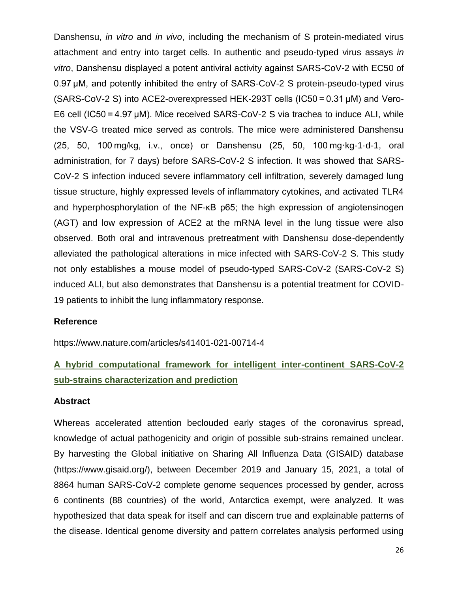Danshensu, *in vitro* and *in vivo*, including the mechanism of S protein-mediated virus attachment and entry into target cells. In authentic and pseudo-typed virus assays *in vitro*, Danshensu displayed a potent antiviral activity against SARS-CoV-2 with EC50 of 0.97 μM, and potently inhibited the entry of SARS-CoV-2 S protein-pseudo-typed virus (SARS-CoV-2 S) into ACE2-overexpressed HEK-293T cells (IC50 = 0.31 μM) and Vero-E6 cell (IC50 = 4.97 μM). Mice received SARS-CoV-2 S via trachea to induce ALI, while the VSV-G treated mice served as controls. The mice were administered Danshensu (25, 50, 100 mg/kg, i.v., once) or Danshensu (25, 50, 100 mg·kg-1·d-1, oral administration, for 7 days) before SARS-CoV-2 S infection. It was showed that SARS-CoV-2 S infection induced severe inflammatory cell infiltration, severely damaged lung tissue structure, highly expressed levels of inflammatory cytokines, and activated TLR4 and hyperphosphorylation of the NF-κB p65; the high expression of angiotensinogen (AGT) and low expression of ACE2 at the mRNA level in the lung tissue were also observed. Both oral and intravenous pretreatment with Danshensu dose-dependently alleviated the pathological alterations in mice infected with SARS-CoV-2 S. This study not only establishes a mouse model of pseudo-typed SARS-CoV-2 (SARS-CoV-2 S) induced ALI, but also demonstrates that Danshensu is a potential treatment for COVID-19 patients to inhibit the lung inflammatory response.

#### **Reference**

https://www.nature.com/articles/s41401-021-00714-4

## **A hybrid computational framework for intelligent inter-continent SARS-CoV-2 sub-strains characterization and prediction**

#### **Abstract**

Whereas accelerated attention beclouded early stages of the coronavirus spread, knowledge of actual pathogenicity and origin of possible sub-strains remained unclear. By harvesting the Global initiative on Sharing All Influenza Data (GISAID) database (https://www.gisaid.org/), between December 2019 and January 15, 2021, a total of 8864 human SARS-CoV-2 complete genome sequences processed by gender, across 6 continents (88 countries) of the world, Antarctica exempt, were analyzed. It was hypothesized that data speak for itself and can discern true and explainable patterns of the disease. Identical genome diversity and pattern correlates analysis performed using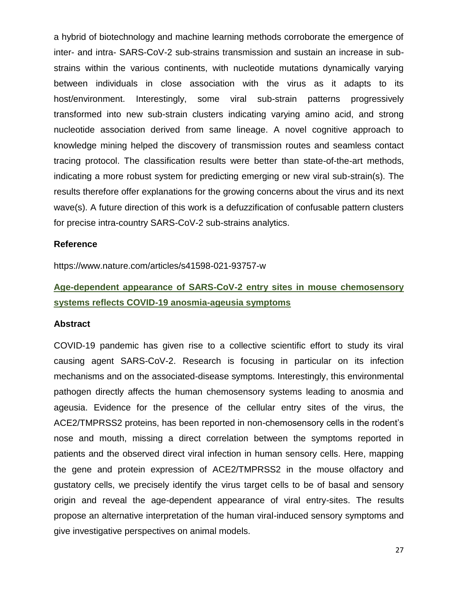a hybrid of biotechnology and machine learning methods corroborate the emergence of inter- and intra- SARS-CoV-2 sub-strains transmission and sustain an increase in substrains within the various continents, with nucleotide mutations dynamically varying between individuals in close association with the virus as it adapts to its host/environment. Interestingly, some viral sub-strain patterns progressively transformed into new sub-strain clusters indicating varying amino acid, and strong nucleotide association derived from same lineage. A novel cognitive approach to knowledge mining helped the discovery of transmission routes and seamless contact tracing protocol. The classification results were better than state-of-the-art methods, indicating a more robust system for predicting emerging or new viral sub-strain(s). The results therefore offer explanations for the growing concerns about the virus and its next wave(s). A future direction of this work is a defuzzification of confusable pattern clusters for precise intra-country SARS-CoV-2 sub-strains analytics.

#### **Reference**

https://www.nature.com/articles/s41598-021-93757-w

## **Age-dependent appearance of SARS-CoV-2 entry sites in mouse chemosensory systems reflects COVID-19 anosmia-ageusia symptoms**

#### **Abstract**

COVID-19 pandemic has given rise to a collective scientific effort to study its viral causing agent SARS-CoV-2. Research is focusing in particular on its infection mechanisms and on the associated-disease symptoms. Interestingly, this environmental pathogen directly affects the human chemosensory systems leading to anosmia and ageusia. Evidence for the presence of the cellular entry sites of the virus, the ACE2/TMPRSS2 proteins, has been reported in non-chemosensory cells in the rodent's nose and mouth, missing a direct correlation between the symptoms reported in patients and the observed direct viral infection in human sensory cells. Here, mapping the gene and protein expression of ACE2/TMPRSS2 in the mouse olfactory and gustatory cells, we precisely identify the virus target cells to be of basal and sensory origin and reveal the age-dependent appearance of viral entry-sites. The results propose an alternative interpretation of the human viral-induced sensory symptoms and give investigative perspectives on animal models.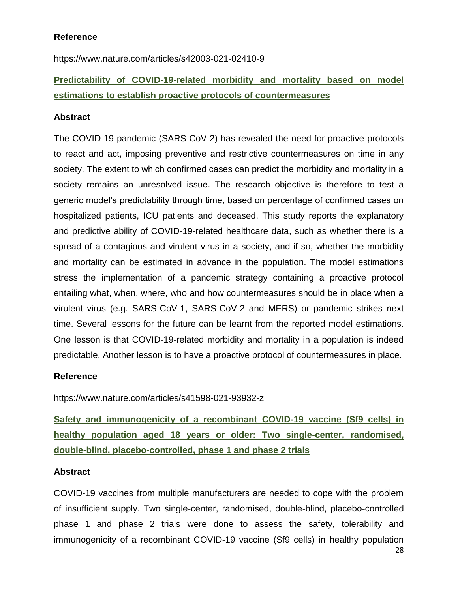## **Reference**

https://www.nature.com/articles/s42003-021-02410-9

# **Predictability of COVID-19-related morbidity and mortality based on model estimations to establish proactive protocols of countermeasures**

#### **Abstract**

The COVID-19 pandemic (SARS-CoV-2) has revealed the need for proactive protocols to react and act, imposing preventive and restrictive countermeasures on time in any society. The extent to which confirmed cases can predict the morbidity and mortality in a society remains an unresolved issue. The research objective is therefore to test a generic model's predictability through time, based on percentage of confirmed cases on hospitalized patients, ICU patients and deceased. This study reports the explanatory and predictive ability of COVID-19-related healthcare data, such as whether there is a spread of a contagious and virulent virus in a society, and if so, whether the morbidity and mortality can be estimated in advance in the population. The model estimations stress the implementation of a pandemic strategy containing a proactive protocol entailing what, when, where, who and how countermeasures should be in place when a virulent virus (e.g. SARS-CoV-1, SARS-CoV-2 and MERS) or pandemic strikes next time. Several lessons for the future can be learnt from the reported model estimations. One lesson is that COVID-19-related morbidity and mortality in a population is indeed predictable. Another lesson is to have a proactive protocol of countermeasures in place.

#### **Reference**

https://www.nature.com/articles/s41598-021-93932-z

**Safety and immunogenicity of a recombinant COVID-19 vaccine (Sf9 cells) in healthy population aged 18 years or older: Two single-center, randomised, double-blind, placebo-controlled, phase 1 and phase 2 trials** 

#### **Abstract**

COVID-19 vaccines from multiple manufacturers are needed to cope with the problem of insufficient supply. Two single-center, randomised, double-blind, placebo-controlled phase 1 and phase 2 trials were done to assess the safety, tolerability and immunogenicity of a recombinant COVID-19 vaccine (Sf9 cells) in healthy population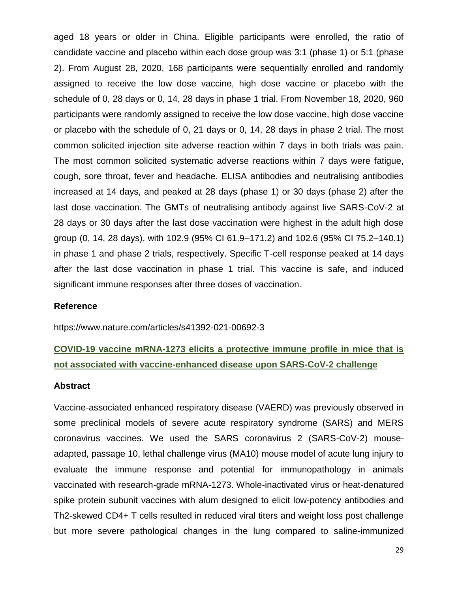aged 18 years or older in China. Eligible participants were enrolled, the ratio of candidate vaccine and placebo within each dose group was 3:1 (phase 1) or 5:1 (phase 2). From August 28, 2020, 168 participants were sequentially enrolled and randomly assigned to receive the low dose vaccine, high dose vaccine or placebo with the schedule of 0, 28 days or 0, 14, 28 days in phase 1 trial. From November 18, 2020, 960 participants were randomly assigned to receive the low dose vaccine, high dose vaccine or placebo with the schedule of 0, 21 days or 0, 14, 28 days in phase 2 trial. The most common solicited injection site adverse reaction within 7 days in both trials was pain. The most common solicited systematic adverse reactions within 7 days were fatigue, cough, sore throat, fever and headache. ELISA antibodies and neutralising antibodies increased at 14 days, and peaked at 28 days (phase 1) or 30 days (phase 2) after the last dose vaccination. The GMTs of neutralising antibody against live SARS-CoV-2 at 28 days or 30 days after the last dose vaccination were highest in the adult high dose group (0, 14, 28 days), with 102.9 (95% CI 61.9–171.2) and 102.6 (95% CI 75.2–140.1) in phase 1 and phase 2 trials, respectively. Specific T-cell response peaked at 14 days after the last dose vaccination in phase 1 trial. This vaccine is safe, and induced significant immune responses after three doses of vaccination.

#### **Reference**

https://www.nature.com/articles/s41392-021-00692-3

## **COVID-19 vaccine mRNA-1273 elicits a protective immune profile in mice that is not associated with vaccine-enhanced disease upon SARS-CoV-2 challenge**

#### **Abstract**

Vaccine-associated enhanced respiratory disease (VAERD) was previously observed in some preclinical models of severe acute respiratory syndrome (SARS) and MERS coronavirus vaccines. We used the SARS coronavirus 2 (SARS-CoV-2) mouseadapted, passage 10, lethal challenge virus (MA10) mouse model of acute lung injury to evaluate the immune response and potential for immunopathology in animals vaccinated with research-grade mRNA-1273. Whole-inactivated virus or heat-denatured spike protein subunit vaccines with alum designed to elicit low-potency antibodies and Th2-skewed CD4+ T cells resulted in reduced viral titers and weight loss post challenge but more severe pathological changes in the lung compared to saline-immunized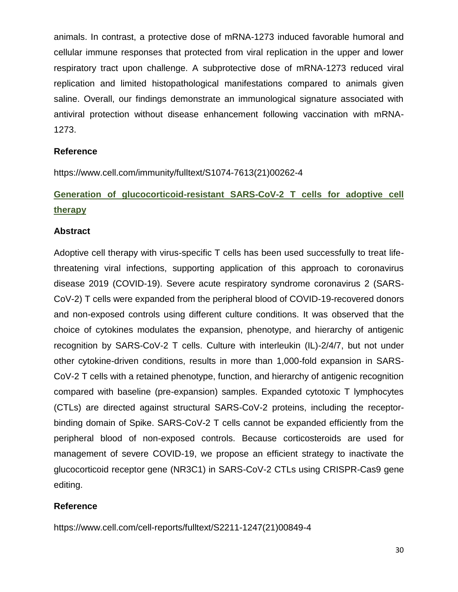animals. In contrast, a protective dose of mRNA-1273 induced favorable humoral and cellular immune responses that protected from viral replication in the upper and lower respiratory tract upon challenge. A subprotective dose of mRNA-1273 reduced viral replication and limited histopathological manifestations compared to animals given saline. Overall, our findings demonstrate an immunological signature associated with antiviral protection without disease enhancement following vaccination with mRNA-1273.

#### **Reference**

https://www.cell.com/immunity/fulltext/S1074-7613(21)00262-4

# **Generation of glucocorticoid-resistant SARS-CoV-2 T cells for adoptive cell therapy**

#### **Abstract**

Adoptive cell therapy with virus-specific T cells has been used successfully to treat lifethreatening viral infections, supporting application of this approach to coronavirus disease 2019 (COVID-19). Severe acute respiratory syndrome coronavirus 2 (SARS-CoV-2) T cells were expanded from the peripheral blood of COVID-19-recovered donors and non-exposed controls using different culture conditions. It was observed that the choice of cytokines modulates the expansion, phenotype, and hierarchy of antigenic recognition by SARS-CoV-2 T cells. Culture with interleukin (IL)-2/4/7, but not under other cytokine-driven conditions, results in more than 1,000-fold expansion in SARS-CoV-2 T cells with a retained phenotype, function, and hierarchy of antigenic recognition compared with baseline (pre-expansion) samples. Expanded cytotoxic T lymphocytes (CTLs) are directed against structural SARS-CoV-2 proteins, including the receptorbinding domain of Spike. SARS-CoV-2 T cells cannot be expanded efficiently from the peripheral blood of non-exposed controls. Because corticosteroids are used for management of severe COVID-19, we propose an efficient strategy to inactivate the glucocorticoid receptor gene (NR3C1) in SARS-CoV-2 CTLs using CRISPR-Cas9 gene editing.

#### **Reference**

https://www.cell.com/cell-reports/fulltext/S2211-1247(21)00849-4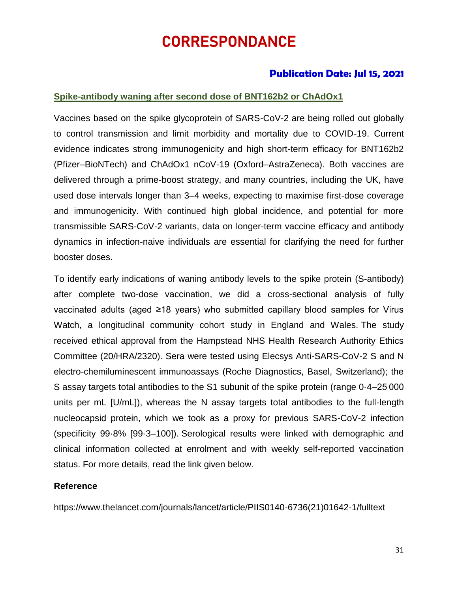# CORRESPONDANCE

## **Publication Date: Jul 15, 2021**

#### **Spike-antibody waning after second dose of BNT162b2 or ChAdOx1**

Vaccines based on the spike glycoprotein of SARS-CoV-2 are being rolled out globally to control transmission and limit morbidity and mortality due to COVID-19. Current evidence indicates strong immunogenicity and high short-term efficacy for BNT162b2 (Pfizer–BioNTech) and ChAdOx1 nCoV-19 (Oxford–AstraZeneca). Both vaccines are delivered through a prime-boost strategy, and many countries, including the UK, have used dose intervals longer than 3–4 weeks, expecting to maximise first-dose coverage and immunogenicity. With continued high global incidence, and potential for more transmissible SARS-CoV-2 variants, data on longer-term vaccine efficacy and antibody dynamics in infection-naive individuals are essential for clarifying the need for further booster doses.

To identify early indications of waning antibody levels to the spike protein (S-antibody) after complete two-dose vaccination, we did a cross-sectional analysis of fully vaccinated adults (aged ≥18 years) who submitted capillary blood samples for Virus Watch, a longitudinal community cohort study in England and Wales. The study received ethical approval from the Hampstead NHS Health Research Authority Ethics Committee (20/HRA/2320). Sera were tested using Elecsys Anti-SARS-CoV-2 S and N electro-chemiluminescent immunoassays (Roche Diagnostics, Basel, Switzerland); the S assay targets total antibodies to the S1 subunit of the spike protein (range 0·4–25 000 units per mL [U/mL]), whereas the N assay targets total antibodies to the full-length nucleocapsid protein, which we took as a proxy for previous SARS-CoV-2 infection (specificity 99·8% [99·3–100]). Serological results were linked with demographic and clinical information collected at enrolment and with weekly self-reported vaccination status. For more details, read the link given below.

#### **Reference**

https://www.thelancet.com/journals/lancet/article/PIIS0140-6736(21)01642-1/fulltext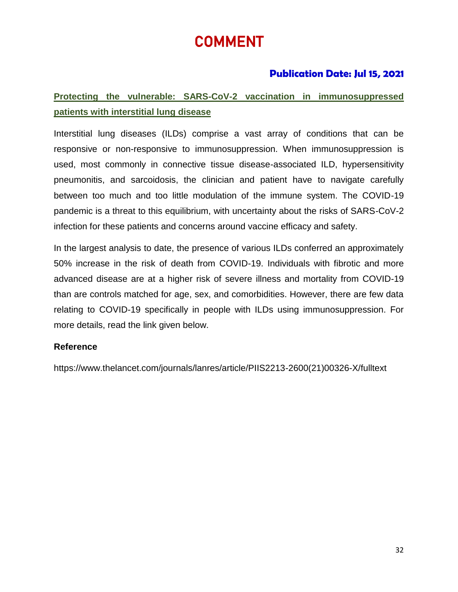# COMMENT

## **Publication Date: Jul 15, 2021**

# **Protecting the vulnerable: SARS-CoV-2 vaccination in immunosuppressed patients with interstitial lung disease**

Interstitial lung diseases (ILDs) comprise a vast array of conditions that can be responsive or non-responsive to immunosuppression. When immunosuppression is used, most commonly in connective tissue disease-associated ILD, hypersensitivity pneumonitis, and sarcoidosis, the clinician and patient have to navigate carefully between too much and too little modulation of the immune system. The COVID-19 pandemic is a threat to this equilibrium, with uncertainty about the risks of SARS-CoV-2 infection for these patients and concerns around vaccine efficacy and safety.

In the largest analysis to date, the presence of various ILDs conferred an approximately 50% increase in the risk of death from COVID-19. Individuals with fibrotic and more advanced disease are at a higher risk of severe illness and mortality from COVID-19 than are controls matched for age, sex, and comorbidities. However, there are few data relating to COVID-19 specifically in people with ILDs using immunosuppression. For more details, read the link given below.

## **Reference**

https://www.thelancet.com/journals/lanres/article/PIIS2213-2600(21)00326-X/fulltext